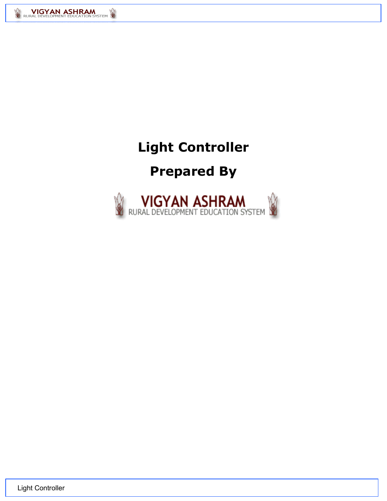

# **Light Controller**

# **Prepared By**



Light Controller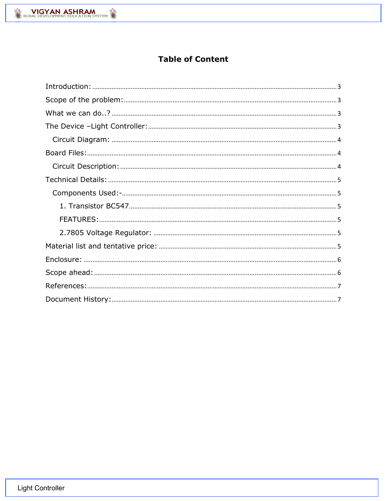# **Table of Content**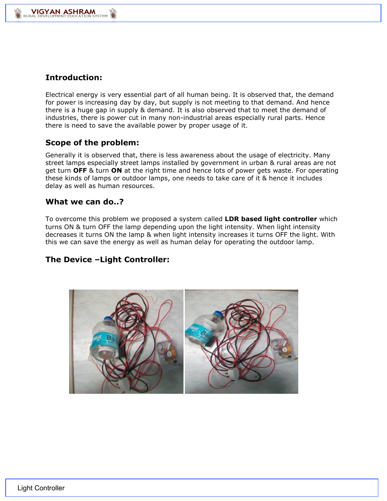<span id="page-2-0"></span>

VIGYAN ASHRAM

j

Electrical energy is very essential part of all human being. It is observed that, the demand for power is increasing day by day, but supply is not meeting to that demand. And hence there is a huge gap in supply & demand. It is also observed that to meet the demand of industries, there is power cut in many non-industrial areas especially rural parts. Hence there is need to save the available power by proper usage of it.

# <span id="page-2-1"></span>**Scope of the problem:**

Generally it is observed that, there is less awareness about the usage of electricity. Many street lamps especially street lamps installed by government in urban & rural areas are not get turn **OFF** & turn **ON** at the right time and hence lots of power gets waste. For operating these kinds of lamps or outdoor lamps, one needs to take care of it & hence it includes delay as well as human resources.

### <span id="page-2-2"></span>**What we can do..?**

To overcome this problem we proposed a system called **LDR based light controller** which turns ON & turn OFF the lamp depending upon the light intensity. When light intensity decreases it turns ON the lamp & when light intensity increases it turns OFF the light. With this we can save the energy as well as human delay for operating the outdoor lamp.

# <span id="page-2-3"></span>**The Device –Light Controller:**

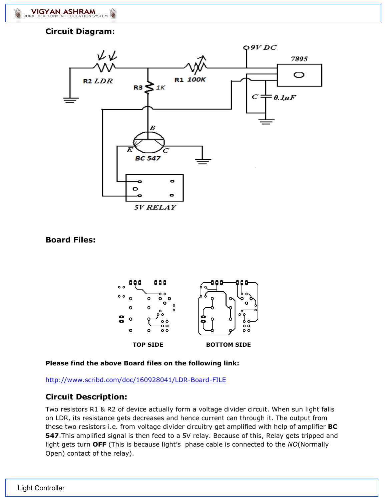j

## <span id="page-3-0"></span>**Circuit Diagram:**



### <span id="page-3-1"></span>**Board Files:**



#### **Please find the above Board files on the following link:**

<http://www.scribd.com/doc/160928041/LDR-Board-FILE>

# <span id="page-3-2"></span>**Circuit Description:**

Two resistors R1 & R2 of device actually form a voltage divider circuit. When sun light falls on LDR, its resistance gets decreases and hence current can through it. The output from these two resistors i.e. from voltage divider circuitry get amplified with help of amplifier **BC 547**.This amplified signal is then feed to a 5V relay. Because of this, Relay gets tripped and light gets turn **OFF** (This is because light's phase cable is connected to the *NO*(Normally Open) contact of the relay).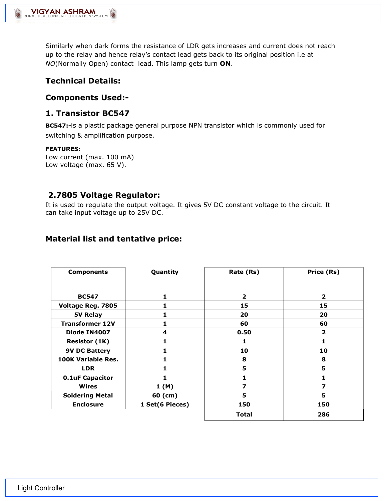j

Similarly when dark forms the resistance of LDR gets increases and current does not reach up to the relay and hence relay's contact lead gets back to its original position i.e at *NO*(Normally Open) contact lead. This lamp gets turn **ON**.

# <span id="page-4-0"></span>**Technical Details:**

### <span id="page-4-1"></span>**Components Used:-**

## <span id="page-4-2"></span>**1. Transistor BC547**

**BC547:-**is a plastic package general purpose NPN transistor which is commonly used for switching & amplification purpose.

#### <span id="page-4-3"></span>**FEATURES:**

Low current (max. 100 mA) Low voltage (max. 65 V).

# <span id="page-4-4"></span>**2.7805 Voltage Regulator:**

It is used to regulate the output voltage. It gives 5V DC constant voltage to the circuit. It can take input voltage up to 25V DC.

# <span id="page-4-5"></span>**Material list and tentative price:**

| <b>Components</b>         | Quantity        | Rate (Rs)      | Price (Rs)              |  |  |
|---------------------------|-----------------|----------------|-------------------------|--|--|
|                           |                 |                |                         |  |  |
| <b>BC547</b>              | 1               | $\overline{2}$ | $\overline{2}$          |  |  |
| Voltage Reg. 7805         |                 | 15             | 15                      |  |  |
| 5V Relay                  | 1               | 20             | 20                      |  |  |
| <b>Transformer 12V</b>    |                 | 60             | 60                      |  |  |
| Diode IN4007              | 4               | 0.50           | $\overline{\mathbf{2}}$ |  |  |
| <b>Resistor (1K)</b>      |                 | 1              |                         |  |  |
| <b>9V DC Battery</b>      |                 | 10             | 10                      |  |  |
| <b>100K Variable Res.</b> | 1               | 8              | 8                       |  |  |
| <b>LDR</b>                |                 | 5              | 5                       |  |  |
| <b>0.1uF Capacitor</b>    |                 |                |                         |  |  |
| Wires                     | 1(M)            | 7              | 7                       |  |  |
| <b>Soldering Metal</b>    | 60 (cm)         | 5              | 5                       |  |  |
| <b>Enclosure</b>          | 1 Set(6 Pieces) | 150            | 150                     |  |  |
|                           |                 | <b>Total</b>   | 286                     |  |  |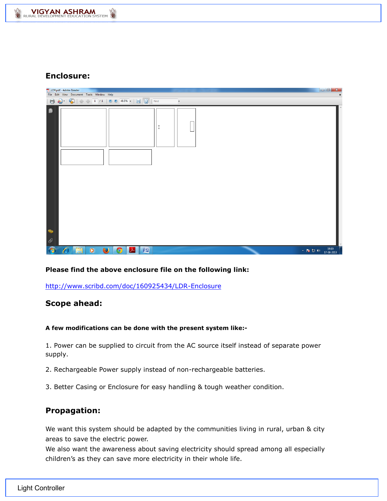

### <span id="page-5-0"></span>**Enclosure:**

| LDR.pdf - Adobe Reader      |              |                                           |           |           |                       |             |              |                    |                          |  |  |  |                                                                                 |                |
|-----------------------------|--------------|-------------------------------------------|-----------|-----------|-----------------------|-------------|--------------|--------------------|--------------------------|--|--|--|---------------------------------------------------------------------------------|----------------|
|                             |              | File Edit View Document Tools Window Help |           |           |                       |             |              |                    |                          |  |  |  |                                                                                 | $\pmb{\times}$ |
| $\blacksquare$              |              |                                           |           |           |                       |             |              |                    | $\overline{\phantom{a}}$ |  |  |  |                                                                                 |                |
| ₿<br>Ħ<br>$\mathscr Q$      |              |                                           |           |           |                       |             |              | $^{\circ}_{\circ}$ |                          |  |  |  |                                                                                 |                |
| $\mathcal{F}_{\mathcal{F}}$ | $\mathcal C$ | ä                                         | $\bullet$ | $\bullet$ | $\boldsymbol{\Theta}$ | $ \lambda $ | $\mathbb{Z}$ |                    |                          |  |  |  | $\sim$ <b>x</b> $\approx$ <b>0</b> $\leftrightarrow$ $\frac{19:19}{17-08-2013}$ |                |

#### **Please find the above enclosure file on the following link:**

<http://www.scribd.com/doc/160925434/LDR-Enclosure>

### <span id="page-5-1"></span>**Scope ahead:**

#### **A few modifications can be done with the present system like:-**

1. Power can be supplied to circuit from the AC source itself instead of separate power supply.

- 2. Rechargeable Power supply instead of non-rechargeable batteries.
- 3. Better Casing or Enclosure for easy handling & tough weather condition.

### **Propagation:**

We want this system should be adapted by the communities living in rural, urban & city areas to save the electric power.

We also want the awareness about saving electricity should spread among all especially children's as they can save more electricity in their whole life.